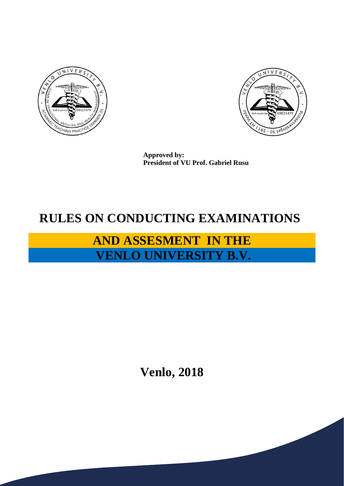



**Approved by: President of VU Prof. Gabriel Rusu**

## **RULES ON CONDUCTING EXAMINATIONS**

## **AND ASSESMENT IN THE VENLO UNIVERSITY B.V.**

**Venlo, 2018**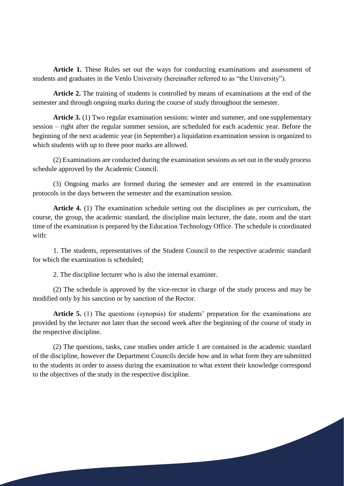**Article 1.** These Rules set out the ways for conducting examinations and assessment of students and graduates in the Venlo University (hereinafter referred to as "the University").

**Article 2.** The training of students is controlled by means of examinations at the end of the semester and through ongoing marks during the course of study throughout the semester.

**Article 3.** (1) Two regular examination sessions: winter and summer, and one supplementary session – right after the regular summer session, are scheduled for each academic year. Before the beginning of the next academic year (in September) a liquidation examination session is organized to which students with up to three poor marks are allowed.

(2) Examinations are conducted during the examination sessions as set out in the study process schedule approved by the Academic Council.

(3) Ongoing marks are formed during the semester and are entered in the examination protocols in the days between the semester and the examination session.

**Article 4.** (1) The examination schedule setting out the disciplines as per curriculum, the course, the group, the academic standard, the discipline main lecturer, the date, room and the start time of the examination is prepared by the Education Technology Office. The schedule is coordinated with:

1. The students, representatives of the Student Council to the respective academic standard for which the examination is scheduled;

2. The discipline lecturer who is also the internal examiner.

(2) The schedule is approved by the vice-rector in charge of the study process and may be modified only by his sanction or by sanction of the Rector.

**Article 5.** (1) The questions (synopsis) for students' preparation for the examinations are provided by the lecturer not later than the second week after the beginning of the course of study in the respective discipline.

(2) The questions, tasks, case studies under article 1 are contained in the academic standard of the discipline, however the Department Councils decide how and in what form they are submitted to the students in order to assess during the examination to what extent their knowledge correspond to the objectives of the study in the respective discipline.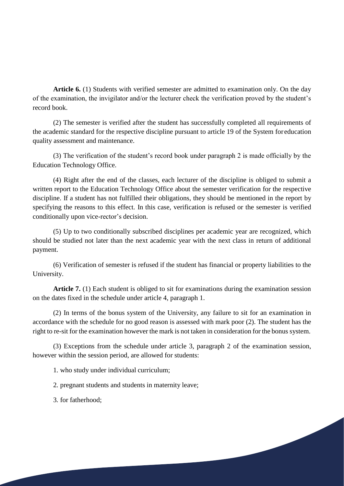**Article 6.** (1) Students with verified semester are admitted to examination only. On the day of the examination, the invigilator and/or the lecturer check the verification proved by the student's record book.

(2) The semester is verified after the student has successfully completed all requirements of the academic standard for the respective discipline pursuant to article 19 of the System for education quality assessment and maintenance.

(3) The verification of the student's record book under paragraph 2 is made officially by the Education Technology Office.

(4) Right after the end of the classes, each lecturer of the discipline is obliged to submit a written report to the Education Technology Office about the semester verification for the respective discipline. If a student has not fulfilled their obligations, they should be mentioned in the report by specifying the reasons to this effect. In this case, verification is refused or the semester is verified conditionally upon vice-rector's decision.

(5) Up to two conditionally subscribed disciplines per academic year are recognized, which should be studied not later than the next academic year with the next class in return of additional payment.

(6) Verification of semester is refused if the student has financial or property liabilities to the University.

Article 7. (1) Each student is obliged to sit for examinations during the examination session on the dates fixed in the schedule under article 4, paragraph 1.

(2) In terms of the bonus system of the University, any failure to sit for an examination in accordance with the schedule for no good reason is assessed with mark poor (2). The student has the right to re-sit for the examination however the mark is not taken in consideration for the bonus system.

(3) Exceptions from the schedule under article 3, paragraph 2 of the examination session, however within the session period, are allowed for students:

1. who study under individual curriculum;

2. pregnant students and students in maternity leave;

3. for fatherhood;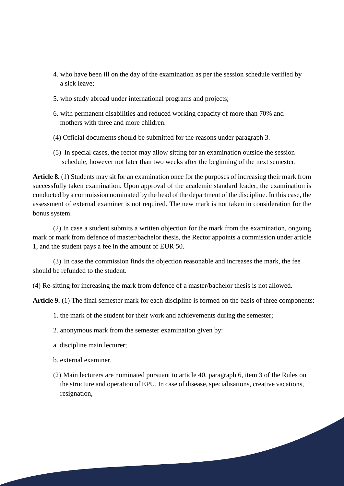- 4. who have been ill on the day of the examination as per the session schedule verified by a sick leave;
- 5. who study abroad under international programs and projects;
- 6. with permanent disabilities and reduced working capacity of more than 70% and mothers with three and more children.
- (4) Official documents should be submitted for the reasons under paragraph 3.
- (5) In special cases, the rector may allow sitting for an examination outside the session schedule, however not later than two weeks after the beginning of the next semester.

**Article 8.** (1) Students may sit for an examination once for the purposes of increasing their mark from successfully taken examination. Upon approval of the academic standard leader, the examination is conducted by a commission nominated by the head of the department of the discipline. In this case, the assessment of external examiner is not required. The new mark is not taken in consideration for the bonus system.

(2) In case a student submits a written objection for the mark from the examination, ongoing mark or mark from defence of master/bachelor thesis, the Rector appoints a commission under article 1, and the student pays a fee in the amount of EUR 50.

(3) In case the commission finds the objection reasonable and increases the mark, the fee should be refunded to the student.

(4) Re-sitting for increasing the mark from defence of a master/bachelor thesis is not allowed.

**Article 9.** (1) The final semester mark for each discipline is formed on the basis of three components:

- 1. the mark of the student for their work and achievements during the semester;
- 2. anonymous mark from the semester examination given by:
- a. discipline main lecturer;
- b. external examiner.
- (2) Main lecturers are nominated pursuant to article 40, paragraph 6, item 3 of the Rules on the structure and operation of EPU. In case of disease, specialisations, creative vacations, resignation,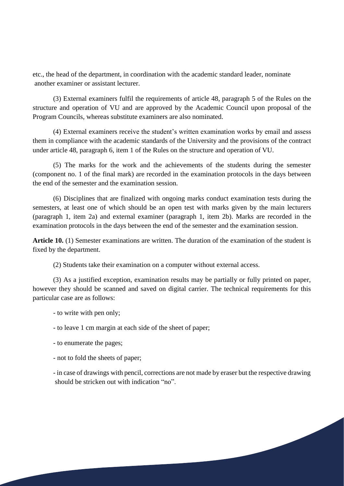etc., the head of the department, in coordination with the academic standard leader, nominate another examiner or assistant lecturer.

(3) External examiners fulfil the requirements of article 48, paragraph 5 of the Rules on the structure and operation of VU and are approved by the Academic Council upon proposal of the Program Councils, whereas substitute examiners are also nominated.

(4) External examiners receive the student's written examination works by email and assess them in compliance with the academic standards of the University and the provisions of the contract under article 48, paragraph 6, item 1 of the Rules on the structure and operation of VU.

(5) The marks for the work and the achievements of the students during the semester (component no. 1 of the final mark) are recorded in the examination protocols in the days between the end of the semester and the examination session.

(6) Disciplines that are finalized with ongoing marks conduct examination tests during the semesters, at least one of which should be an open test with marks given by the main lecturers (paragraph 1, item 2a) and external examiner (paragraph 1, item 2b). Marks are recorded in the examination protocols in the days between the end of the semester and the examination session.

**Article 10.** (1) Semester examinations are written. The duration of the examination of the student is fixed by the department.

(2) Students take their examination on a computer without external access.

(3) As a justified exception, examination results may be partially or fully printed on paper, however they should be scanned and saved on digital carrier. The technical requirements for this particular case are as follows:

- to write with pen only;

- to leave 1 cm margin at each side of the sheet of paper;

- to enumerate the pages;

- not to fold the sheets of paper;

- in case of drawings with pencil, corrections are not made by eraser but the respective drawing should be stricken out with indication "no".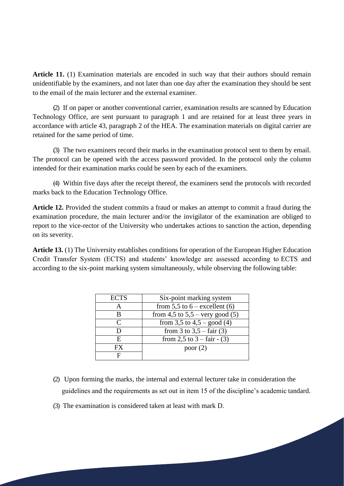**Article 11.** (1) Examination materials are encoded in such way that their authors should remain unidentifiable by the examiners, and not later than one day after the examination they should be sent to the email of the main lecturer and the external examiner.

(2) If on paper or another conventional carrier, examination results are scanned by Education Technology Office, are sent pursuant to paragraph 1 and are retained for at least three years in accordance with article 43, paragraph 2 of the HEA. The examination materials on digital carrier are retained for the same period of time.

(3) The two examiners record their marks in the examination protocol sent to them by email. The protocol can be opened with the access password provided. In the protocol only the column intended for their examination marks could be seen by each of the examiners.

(4) Within five days after the receipt thereof, the examiners send the protocols with recorded marks back to the Education Technology Office.

**Article 12.** Provided the student commits a fraud or makes an attempt to commit a fraud during the examination procedure, the main lecturer and/or the invigilator of the examination are obliged to report to the vice-rector of the University who undertakes actions to sanction the action, depending on its severity.

**Article 13.** (1) The University establishes conditions for operation of the European Higher Education Credit Transfer System (ECTS) and students' knowledge are assessed according to ECTS and according to the six-point marking system simultaneously, while observing the following table:

| <b>ECTS</b>                 | Six-point marking system            |
|-----------------------------|-------------------------------------|
| A                           | from 5,5 to $6$ – excellent (6)     |
| В                           | from 4,5 to $5,5$ – very good (5)   |
| $\mathcal{C}_{\mathcal{C}}$ | from 3,5 to $4,5 -$ good (4)        |
| I)                          | from 3 to $3,5 - \text{fair}(3)$    |
| E                           | from 2,5 to $3 - \text{fair} - (3)$ |
| FX.                         | poor $(2)$                          |
| F                           |                                     |

- (2) Upon forming the marks, the internal and external lecturer take in consideration the guidelines and the requirements as set out in item 15 of the discipline's academic tandard.
- (3) The examination is considered taken at least with mark D.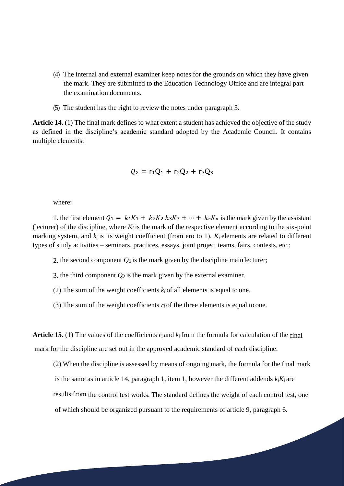- (4) The internal and external examiner keep notes for the grounds on which they have given the mark. They are submitted to the Education Technology Office and are integral part the examination documents.
- (5) The student has the right to review the notes under paragraph 3.

**Article 14.** (1) The final mark defines to what extent a student has achieved the objective of the study as defined in the discipline's academic standard adopted by the Academic Council. It contains multiple elements:

$$
Q_{\Sigma} = r_1 Q_1 + r_2 Q_2 + r_3 Q_3
$$

where:

1. the first element  $Q_1 = k_1 K_1 + k_2 K_2 k_3 K_3 + \cdots + k_n K_n$  is the mark given by the assistant (lecturer) of the discipline, where  $K_i$  is the mark of the respective element according to the six-point marking system, and  $k_i$  is its weight coefficient (from ero to 1).  $K_i$  elements are related to different types of study activities – seminars, practices, essays, joint project teams, fairs, contests, etc.;

2. the second component  $Q_2$  is the mark given by the discipline main lecturer;

3. the third component  $Q_3$  is the mark given by the external examiner.

(2) The sum of the weight coefficients  $k_i$  of all elements is equal to one.

(3) The sum of the weight coefficients  $r_i$  of the three elements is equal to one.

**Article 15.** (1) The values of the coefficients *ri* and *ki* from the formula for calculation of the final mark for the discipline are set out in the approved academic standard of each discipline.

(2) When the discipline is assessed by means of ongoing mark, the formula for the final mark is the same as in article 14, paragraph 1, item 1, however the different addends  $k_iK_i$  are results from the control test works. The standard defines the weight of each control test, one of which should be organized pursuant to the requirements of article 9, paragraph 6.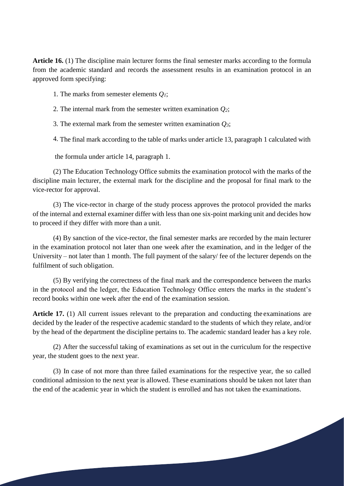**Article 16.** (1) The discipline main lecturer forms the final semester marks according to the formula from the academic standard and records the assessment results in an examination protocol in an approved form specifying:

1. The marks from semester elements *Q1*;

2. The internal mark from the semester written examination *Q2*;

3. The external mark from the semester written examination *Q3*;

4. The final mark according to the table of marks under article 13, paragraph 1 calculated with

the formula under article 14, paragraph 1.

(2) The Education Technology Office submits the examination protocol with the marks of the discipline main lecturer, the external mark for the discipline and the proposal for final mark to the vice-rector for approval.

(3) The vice-rector in charge of the study process approves the protocol provided the marks of the internal and external examiner differ with less than one six-point marking unit and decides how to proceed if they differ with more than a unit.

(4) By sanction of the vice-rector, the final semester marks are recorded by the main lecturer in the examination protocol not later than one week after the examination, and in the ledger of the University – not later than 1 month. The full payment of the salary/ fee of the lecturer depends on the fulfilment of such obligation.

(5) By verifying the correctness of the final mark and the correspondence between the marks in the protocol and the ledger, the Education Technology Office enters the marks in the student's record books within one week after the end of the examination session.

**Article 17.** (1) All current issues relevant to the preparation and conducting the examinations are decided by the leader of the respective academic standard to the students of which they relate, and/or by the head of the department the discipline pertains to. The academic standard leader has a key role.

(2) After the successful taking of examinations as set out in the curriculum for the respective year, the student goes to the next year.

(3) In case of not more than three failed examinations for the respective year, the so called conditional admission to the next year is allowed. These examinations should be taken not later than the end of the academic year in which the student is enrolled and has not taken the examinations.